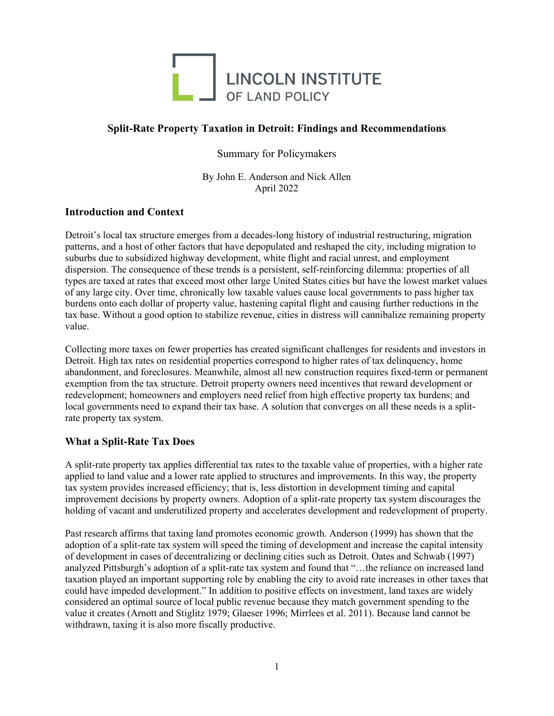

# **Split-Rate Property Taxation in Detroit: Findings and Recommendations**

Summary for Policymakers

By John E. Anderson and Nick Allen April 2022

## **Introduction and Context**

Detroit's local tax structure emerges from a decades-long history of industrial restructuring, migration patterns, and a host of other factors that have depopulated and reshaped the city, including migration to suburbs due to subsidized highway development, white flight and racial unrest, and employment dispersion. The consequence of these trends is a persistent, self-reinforcing dilemma: properties of all types are taxed at rates that exceed most other large United States cities but have the lowest market values of any large city. Over time, chronically low taxable values cause local governments to pass higher tax burdens onto each dollar of property value, hastening capital flight and causing further reductions in the tax base. Without a good option to stabilize revenue, cities in distress will cannibalize remaining property value.

Collecting more taxes on fewer properties has created significant challenges for residents and investors in Detroit. High tax rates on residential properties correspond to higher rates of tax delinquency, home abandonment, and foreclosures. Meanwhile, almost all new construction requires fixed-term or permanent exemption from the tax structure. Detroit property owners need incentives that reward development or redevelopment; homeowners and employers need relief from high effective property tax burdens; and local governments need to expand their tax base. A solution that converges on all these needs is a splitrate property tax system.

## **What a Split-Rate Tax Does**

A split-rate property tax applies differential tax rates to the taxable value of properties, with a higher rate applied to land value and a lower rate applied to structures and improvements. In this way, the property tax system provides increased efficiency; that is, less distortion in development timing and capital improvement decisions by property owners. Adoption of a split-rate property tax system discourages the holding of vacant and underutilized property and accelerates development and redevelopment of property.

Past research affirms that taxing land promotes economic growth. Anderson (1999) has shown that the adoption of a split-rate tax system will speed the timing of development and increase the capital intensity of development in cases of decentralizing or declining cities such as Detroit. Oates and Schwab (1997) analyzed Pittsburgh's adoption of a split-rate tax system and found that "…the reliance on increased land taxation played an important supporting role by enabling the city to avoid rate increases in other taxes that could have impeded development." In addition to positive effects on investment, land taxes are widely considered an optimal source of local public revenue because they match government spending to the value it creates (Arnott and Stiglitz 1979; Glaeser 1996; Mirrlees et al. 2011). Because land cannot be withdrawn, taxing it is also more fiscally productive.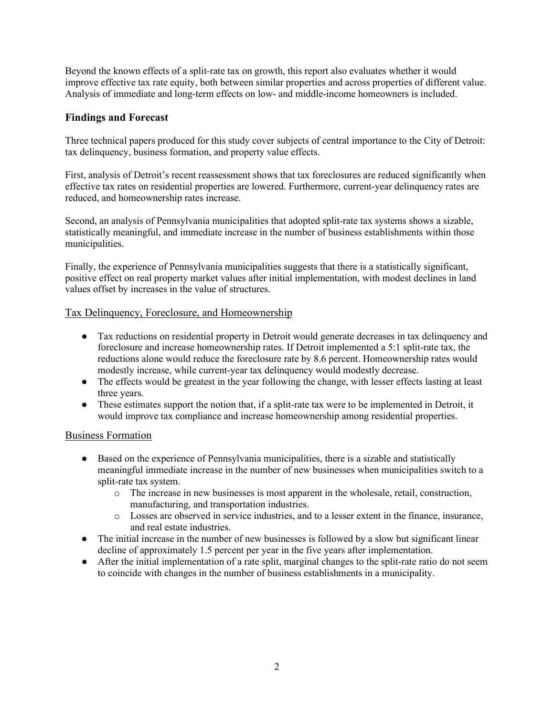Beyond the known effects of a split-rate tax on growth, this report also evaluates whether it would improve effective tax rate equity, both between similar properties and across properties of different value. Analysis of immediate and long-term effects on low- and middle-income homeowners is included.

## **Findings and Forecast**

Three technical papers produced for this study cover subjects of central importance to the City of Detroit: tax delinquency, business formation, and property value effects.

First, analysis of Detroit's recent reassessment shows that tax foreclosures are reduced significantly when effective tax rates on residential properties are lowered. Furthermore, current-year delinquency rates are reduced, and homeownership rates increase.

Second, an analysis of Pennsylvania municipalities that adopted split-rate tax systems shows a sizable, statistically meaningful, and immediate increase in the number of business establishments within those municipalities.

Finally, the experience of Pennsylvania municipalities suggests that there is a statistically significant, positive effect on real property market values after initial implementation, with modest declines in land values offset by increases in the value of structures.

## Tax Delinquency, Foreclosure, and Homeownership

- Tax reductions on residential property in Detroit would generate decreases in tax delinquency and foreclosure and increase homeownership rates. If Detroit implemented a 5:1 split-rate tax, the reductions alone would reduce the foreclosure rate by 8.6 percent. Homeownership rates would modestly increase, while current-year tax delinquency would modestly decrease.
- The effects would be greatest in the year following the change, with lesser effects lasting at least three years.
- These estimates support the notion that, if a split-rate tax were to be implemented in Detroit, it would improve tax compliance and increase homeownership among residential properties.

## Business Formation

- Based on the experience of Pennsylvania municipalities, there is a sizable and statistically meaningful immediate increase in the number of new businesses when municipalities switch to a split-rate tax system.
	- o The increase in new businesses is most apparent in the wholesale, retail, construction, manufacturing, and transportation industries.
	- o Losses are observed in service industries, and to a lesser extent in the finance, insurance, and real estate industries.
- The initial increase in the number of new businesses is followed by a slow but significant linear decline of approximately 1.5 percent per year in the five years after implementation.
- After the initial implementation of a rate split, marginal changes to the split-rate ratio do not seem to coincide with changes in the number of business establishments in a municipality.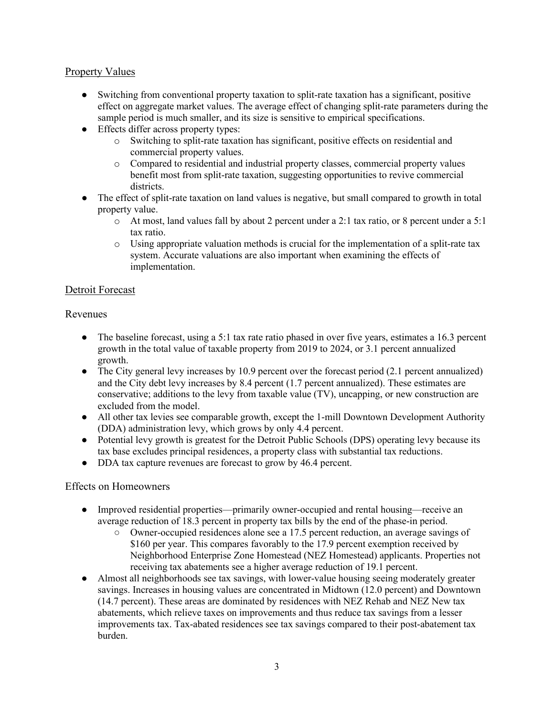# Property Values

- Switching from conventional property taxation to split-rate taxation has a significant, positive effect on aggregate market values. The average effect of changing split-rate parameters during the sample period is much smaller, and its size is sensitive to empirical specifications.
- Effects differ across property types:
	- o Switching to split-rate taxation has significant, positive effects on residential and commercial property values.
	- o Compared to residential and industrial property classes, commercial property values benefit most from split-rate taxation, suggesting opportunities to revive commercial districts.
- The effect of split-rate taxation on land values is negative, but small compared to growth in total property value.
	- $\circ$  At most, land values fall by about 2 percent under a 2:1 tax ratio, or 8 percent under a 5:1 tax ratio.
	- o Using appropriate valuation methods is crucial for the implementation of a split-rate tax system. Accurate valuations are also important when examining the effects of implementation.

#### Detroit Forecast

#### Revenues

- The baseline forecast, using a 5:1 tax rate ratio phased in over five years, estimates a 16.3 percent growth in the total value of taxable property from 2019 to 2024, or 3.1 percent annualized growth.
- The City general levy increases by 10.9 percent over the forecast period  $(2.1$  percent annualized) and the City debt levy increases by 8.4 percent (1.7 percent annualized). These estimates are conservative; additions to the levy from taxable value (TV), uncapping, or new construction are excluded from the model.
- All other tax levies see comparable growth, except the 1-mill Downtown Development Authority (DDA) administration levy, which grows by only 4.4 percent.
- Potential levy growth is greatest for the Detroit Public Schools (DPS) operating levy because its tax base excludes principal residences, a property class with substantial tax reductions.
- DDA tax capture revenues are forecast to grow by 46.4 percent.

## Effects on Homeowners

- Improved residential properties—primarily owner-occupied and rental housing—receive an average reduction of 18.3 percent in property tax bills by the end of the phase-in period.
	- Owner-occupied residences alone see a 17.5 percent reduction, an average savings of \$160 per year. This compares favorably to the 17.9 percent exemption received by Neighborhood Enterprise Zone Homestead (NEZ Homestead) applicants. Properties not receiving tax abatements see a higher average reduction of 19.1 percent.
- Almost all neighborhoods see tax savings, with lower-value housing seeing moderately greater savings. Increases in housing values are concentrated in Midtown (12.0 percent) and Downtown (14.7 percent). These areas are dominated by residences with NEZ Rehab and NEZ New tax abatements, which relieve taxes on improvements and thus reduce tax savings from a lesser improvements tax. Tax-abated residences see tax savings compared to their post-abatement tax burden.